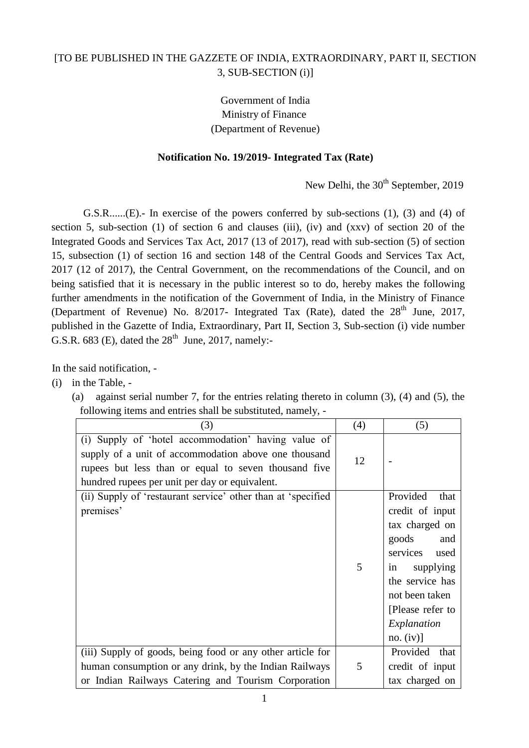## [TO BE PUBLISHED IN THE GAZZETE OF INDIA, EXTRAORDINARY, PART II, SECTION 3, SUB-SECTION (i)]

Government of India Ministry of Finance (Department of Revenue)

## **Notification No. 19/2019- Integrated Tax (Rate)**

New Delhi, the  $30<sup>th</sup>$  September, 2019

G.S.R...... $(E)$ .- In exercise of the powers conferred by sub-sections (1), (3) and (4) of section 5, sub-section (1) of section 6 and clauses (iii), (iv) and (xxv) of section 20 of the Integrated Goods and Services Tax Act, 2017 (13 of 2017), read with sub-section (5) of section 15, subsection (1) of section 16 and section 148 of the Central Goods and Services Tax Act, 2017 (12 of 2017), the Central Government, on the recommendations of the Council, and on being satisfied that it is necessary in the public interest so to do, hereby makes the following further amendments in the notification of the Government of India, in the Ministry of Finance (Department of Revenue) No.  $8/2017$ - Integrated Tax (Rate), dated the  $28<sup>th</sup>$  June, 2017, published in the Gazette of India, Extraordinary, Part II, Section 3, Sub-section (i) vide number G.S.R. 683 (E), dated the  $28<sup>th</sup>$  June, 2017, namely:-

In the said notification, -

- (i) in the Table,
	- (a) against serial number 7, for the entries relating thereto in column (3), (4) and (5), the following items and entries shall be substituted, namely, -

| (3)                                                                                                                                                                                                                   | (4) | (5)                                                                                                                                                                                               |
|-----------------------------------------------------------------------------------------------------------------------------------------------------------------------------------------------------------------------|-----|---------------------------------------------------------------------------------------------------------------------------------------------------------------------------------------------------|
| (i) Supply of 'hotel accommodation' having value of<br>supply of a unit of accommodation above one thousand<br>rupees but less than or equal to seven thousand five<br>hundred rupees per unit per day or equivalent. | 12  |                                                                                                                                                                                                   |
| (ii) Supply of 'restaurant service' other than at 'specified<br>premises'                                                                                                                                             | 5   | Provided<br>that<br>credit of input<br>tax charged on<br>goods<br>and<br>services used<br>supplying<br>in<br>the service has<br>not been taken<br>[Please refer to<br>Explanation<br>$no. (iv)$ ] |
| (iii) Supply of goods, being food or any other article for<br>human consumption or any drink, by the Indian Railways<br>or Indian Railways Catering and Tourism Corporation                                           | 5   | Provided that<br>credit of input<br>tax charged on                                                                                                                                                |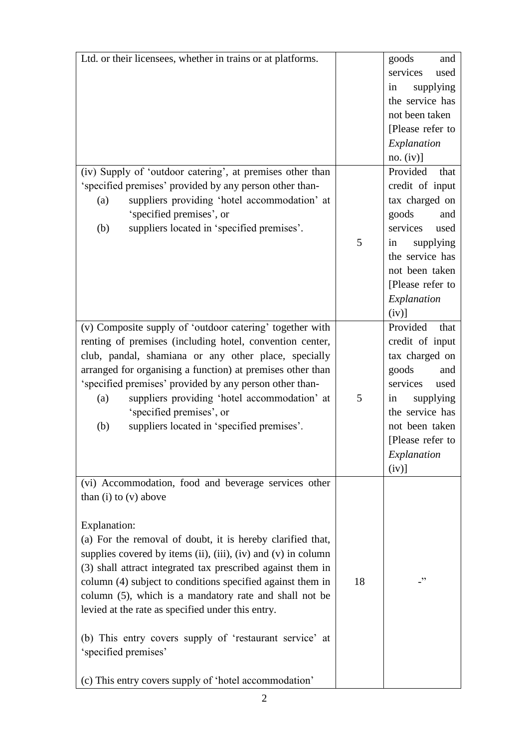| Ltd. or their licensees, whether in trains or at platforms.             |    | goods<br>and     |
|-------------------------------------------------------------------------|----|------------------|
|                                                                         |    | services<br>used |
|                                                                         |    | supplying<br>in  |
|                                                                         |    | the service has  |
|                                                                         |    | not been taken   |
|                                                                         |    | [Please refer to |
|                                                                         |    |                  |
|                                                                         |    | Explanation      |
|                                                                         |    | no. (iv)]        |
| (iv) Supply of 'outdoor catering', at premises other than               |    | Provided<br>that |
| 'specified premises' provided by any person other than-                 |    | credit of input  |
| suppliers providing 'hotel accommodation' at<br>(a)                     |    | tax charged on   |
| 'specified premises', or                                                |    | goods<br>and     |
| suppliers located in 'specified premises'.<br>(b)                       |    | services<br>used |
|                                                                         | 5  | supplying<br>in  |
|                                                                         |    | the service has  |
|                                                                         |    | not been taken   |
|                                                                         |    | [Please refer to |
|                                                                         |    | Explanation      |
|                                                                         |    |                  |
|                                                                         |    | $(iv)$ ]         |
| (v) Composite supply of 'outdoor catering' together with                |    | Provided<br>that |
| renting of premises (including hotel, convention center,                |    | credit of input  |
| club, pandal, shamiana or any other place, specially                    |    | tax charged on   |
| arranged for organising a function) at premises other than              |    | goods<br>and     |
| 'specified premises' provided by any person other than-                 |    | services<br>used |
| suppliers providing 'hotel accommodation' at<br>(a)                     | 5  | supplying<br>in  |
| 'specified premises', or                                                |    | the service has  |
| (b)<br>suppliers located in 'specified premises'.                       |    | not been taken   |
|                                                                         |    | [Please refer to |
|                                                                         |    | Explanation      |
|                                                                         |    | $(iv)$ ]         |
| (vi) Accommodation, food and beverage services other                    |    |                  |
| than $(i)$ to $(v)$ above                                               |    |                  |
|                                                                         |    |                  |
|                                                                         |    |                  |
| Explanation:                                                            |    |                  |
| (a) For the removal of doubt, it is hereby clarified that,              |    |                  |
| supplies covered by items $(ii)$ , $(iii)$ , $(iv)$ and $(v)$ in column |    |                  |
| (3) shall attract integrated tax prescribed against them in             |    |                  |
| column (4) subject to conditions specified against them in              | 18 | -"               |
| column (5), which is a mandatory rate and shall not be                  |    |                  |
| levied at the rate as specified under this entry.                       |    |                  |
| (b) This entry covers supply of 'restaurant service' at                 |    |                  |
| 'specified premises'                                                    |    |                  |
| (c) This entry covers supply of 'hotel accommodation'                   |    |                  |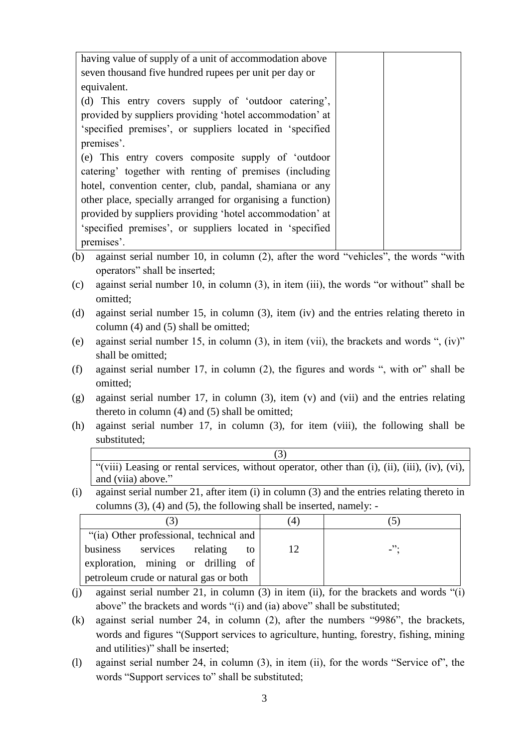| having value of supply of a unit of accommodation above                                   |  |
|-------------------------------------------------------------------------------------------|--|
| seven thousand five hundred rupees per unit per day or                                    |  |
| equivalent.                                                                               |  |
| (d) This entry covers supply of 'outdoor catering',                                       |  |
| provided by suppliers providing 'hotel accommodation' at                                  |  |
| 'specified premises', or suppliers located in 'specified                                  |  |
| premises'.                                                                                |  |
| (e) This entry covers composite supply of 'outdoor                                        |  |
| catering' together with renting of premises (including                                    |  |
| hotel, convention center, club, pandal, shamiana or any                                   |  |
| other place, specially arranged for organising a function)                                |  |
| provided by suppliers providing 'hotel accommodation' at                                  |  |
| 'specified premises', or suppliers located in 'specified                                  |  |
| premises'.                                                                                |  |
| (b) against sarial number $10$ in ealumn $(2)$ after the word "vahiales" the words "with" |  |

(b) against serial number 10, in column (2), after the word "vehicles", the words "with operators" shall be inserted;

- (c) against serial number 10, in column (3), in item (iii), the words "or without" shall be omitted;
- (d) against serial number 15, in column (3), item (iv) and the entries relating thereto in column (4) and (5) shall be omitted;
- (e) against serial number 15, in column (3), in item (vii), the brackets and words ", (iv)" shall be omitted;
- (f) against serial number 17, in column (2), the figures and words ", with or" shall be omitted;
- (g) against serial number 17, in column (3), item (v) and (vii) and the entries relating thereto in column (4) and (5) shall be omitted;
- (h) against serial number 17, in column (3), for item (viii), the following shall be substituted;

|                    | "(viii) Leasing or rental services, without operator, other than $(i)$ , $(ii)$ , $(iii)$ , $(iv)$ , $(vi)$ , |
|--------------------|---------------------------------------------------------------------------------------------------------------|
| and (viia) above." |                                                                                                               |

(i) against serial number 21, after item (i) in column (3) and the entries relating thereto in columns (3), (4) and (5), the following shall be inserted, namely: -

|                                         | $4 \cdot$ |                            |
|-----------------------------------------|-----------|----------------------------|
| "(ia) Other professional, technical and |           |                            |
| services relating<br>business<br>to.    | 12        | $\overline{\phantom{a}}$ . |
| exploration, mining or drilling of      |           |                            |
| petroleum crude or natural gas or both  |           |                            |

- (j) against serial number 21, in column (3) in item (ii), for the brackets and words "(i) above" the brackets and words "(i) and (ia) above" shall be substituted;
- (k) against serial number 24, in column (2), after the numbers "9986", the brackets, words and figures "(Support services to agriculture, hunting, forestry, fishing, mining and utilities)" shall be inserted;
- (l) against serial number 24, in column (3), in item (ii), for the words "Service of", the words "Support services to" shall be substituted;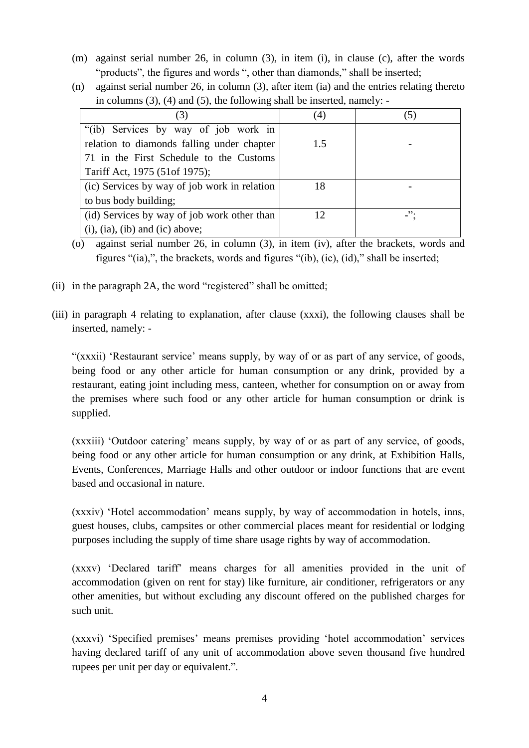- (m) against serial number 26, in column (3), in item (i), in clause (c), after the words "products", the figures and words ", other than diamonds," shall be inserted;
- (n) against serial number 26, in column (3), after item (ia) and the entries relating thereto in columns (3), (4) and (5), the following shall be inserted, namely: -

| (3)                                          | (4)          |                            |
|----------------------------------------------|--------------|----------------------------|
| "(ib) Services by way of job work in         |              |                            |
| relation to diamonds falling under chapter   | 1.5          |                            |
| 71 in the First Schedule to the Customs      |              |                            |
| Tariff Act, 1975 (51 of 1975);               |              |                            |
| (ic) Services by way of job work in relation | 18           |                            |
| to bus body building;                        |              |                            |
| (id) Services by way of job work other than  | $12^{\circ}$ | $\overline{\phantom{a}}$ . |
| $(i)$ , $(ia)$ , $(ib)$ and $(ic)$ above;    |              |                            |

- (o) against serial number 26, in column (3), in item (iv), after the brackets, words and figures "(ia),", the brackets, words and figures "(ib), (ic), (id)," shall be inserted;
- (ii) in the paragraph 2A, the word "registered" shall be omitted;
- (iii) in paragraph 4 relating to explanation, after clause (xxxi), the following clauses shall be inserted, namely: -

"(xxxii) 'Restaurant service' means supply, by way of or as part of any service, of goods, being food or any other article for human consumption or any drink, provided by a restaurant, eating joint including mess, canteen, whether for consumption on or away from the premises where such food or any other article for human consumption or drink is supplied.

(xxxiii) "Outdoor catering" means supply, by way of or as part of any service, of goods, being food or any other article for human consumption or any drink, at Exhibition Halls, Events, Conferences, Marriage Halls and other outdoor or indoor functions that are event based and occasional in nature.

(xxxiv) "Hotel accommodation" means supply, by way of accommodation in hotels, inns, guest houses, clubs, campsites or other commercial places meant for residential or lodging purposes including the supply of time share usage rights by way of accommodation.

(xxxv) "Declared tariff" means charges for all amenities provided in the unit of accommodation (given on rent for stay) like furniture, air conditioner, refrigerators or any other amenities, but without excluding any discount offered on the published charges for such unit.

(xxxvi) "Specified premises" means premises providing "hotel accommodation" services having declared tariff of any unit of accommodation above seven thousand five hundred rupees per unit per day or equivalent.".